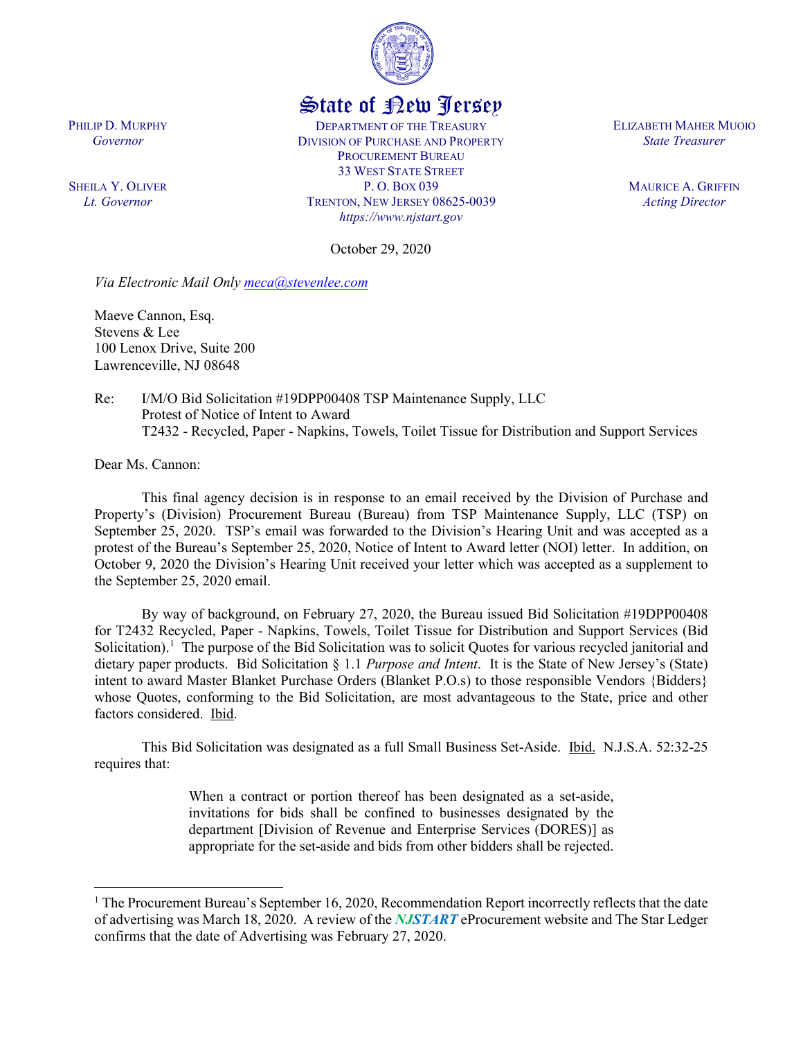

## State of New Jersey

DEPARTMENT OF THE TREASURY DIVISION OF PURCHASE AND PROPERTY PROCUREMENT BUREAU 33 WEST STATE STREET P. O. BOX 039 TRENTON, NEW JERSEY 08625-0039 *https://www.njstart.gov*

ELIZABETH MAHER MUOIO *State Treasurer*

> MAURICE A. GRIFFIN *Acting Director*

SHEILA Y. OLIVER *Lt. Governor*

PHILIP D. MURPHY *Governor*

October 29, 2020

*Via Electronic Mail Only [meca@stevenlee.com](mailto:meca@stevenlee.com)*

Maeve Cannon, Esq. Stevens & Lee 100 Lenox Drive, Suite 200 Lawrenceville, NJ 08648

Re: I/M/O Bid Solicitation #19DPP00408 TSP Maintenance Supply, LLC Protest of Notice of Intent to Award T2432 - Recycled, Paper - Napkins, Towels, Toilet Tissue for Distribution and Support Services

Dear Ms. Cannon:

 $\overline{\phantom{a}}$ 

This final agency decision is in response to an email received by the Division of Purchase and Property's (Division) Procurement Bureau (Bureau) from TSP Maintenance Supply, LLC (TSP) on September 25, 2020. TSP's email was forwarded to the Division's Hearing Unit and was accepted as a protest of the Bureau's September 25, 2020, Notice of Intent to Award letter (NOI) letter. In addition, on October 9, 2020 the Division's Hearing Unit received your letter which was accepted as a supplement to the September 25, 2020 email.

By way of background, on February 27, 2020, the Bureau issued Bid Solicitation #19DPP00408 for T2432 Recycled, Paper - Napkins, Towels, Toilet Tissue for Distribution and Support Services (Bid Solicitation).<sup>[1](#page-0-0)</sup> The purpose of the Bid Solicitation was to solicit Quotes for various recycled janitorial and dietary paper products. Bid Solicitation § 1.1 *Purpose and Intent*. It is the State of New Jersey's (State) intent to award Master Blanket Purchase Orders (Blanket P.O.s) to those responsible Vendors {Bidders} whose Quotes, conforming to the Bid Solicitation, are most advantageous to the State, price and other factors considered. Ibid.

This Bid Solicitation was designated as a full Small Business Set-Aside. Ibid. N.J.S.A. 52:32-25 requires that:

> When a contract or portion thereof has been designated as a set-aside, invitations for bids shall be confined to businesses designated by the department [Division of Revenue and Enterprise Services (DORES)] as appropriate for the set-aside and bids from other bidders shall be rejected.

<span id="page-0-0"></span> $1$  The Procurement Bureau's September 16, 2020, Recommendation Report incorrectly reflects that the date of advertising was March 18, 2020. A review of the *NJSTART* eProcurement website and The Star Ledger confirms that the date of Advertising was February 27, 2020.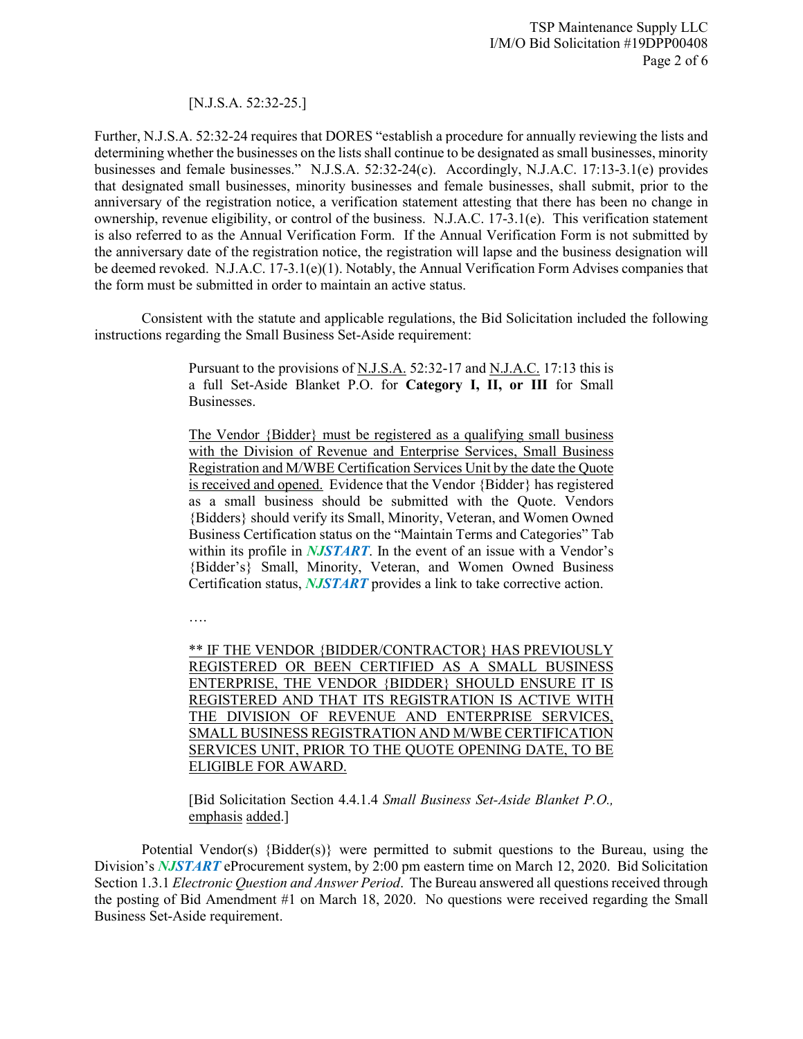## [N.J.S.A. 52:32-25.]

Further, N.J.S.A. 52:32-24 requires that DORES "establish a procedure for annually reviewing the lists and determining whether the businesses on the lists shall continue to be designated as small businesses, minority businesses and female businesses." N.J.S.A. 52:32-24(c). Accordingly, N.J.A.C. 17:13-3.1(e) provides that designated small businesses, minority businesses and female businesses, shall submit, prior to the anniversary of the registration notice, a verification statement attesting that there has been no change in ownership, revenue eligibility, or control of the business. N.J.A.C. 17-3.1(e). This verification statement is also referred to as the Annual Verification Form. If the Annual Verification Form is not submitted by the anniversary date of the registration notice, the registration will lapse and the business designation will be deemed revoked. N.J.A.C. 17-3.1(e)(1). Notably, the Annual Verification Form Advises companies that the form must be submitted in order to maintain an active status.

Consistent with the statute and applicable regulations, the Bid Solicitation included the following instructions regarding the Small Business Set-Aside requirement:

> Pursuant to the provisions of N.J.S.A. 52:32-17 and N.J.A.C. 17:13 this is a full Set-Aside Blanket P.O. for **Category I, II, or III** for Small Businesses.

> The Vendor {Bidder} must be registered as a qualifying small business with the Division of Revenue and Enterprise Services, Small Business Registration and M/WBE Certification Services Unit by the date the Quote is received and opened. Evidence that the Vendor {Bidder} has registered as a small business should be submitted with the Quote. Vendors {Bidders} should verify its Small, Minority, Veteran, and Women Owned Business Certification status on the "Maintain Terms and Categories" Tab within its profile in *NJSTART*. In the event of an issue with a Vendor's {Bidder's} Small, Minority, Veteran, and Women Owned Business Certification status, *NJSTART* provides a link to take corrective action.

….

\*\* IF THE VENDOR {BIDDER/CONTRACTOR} HAS PREVIOUSLY REGISTERED OR BEEN CERTIFIED AS A SMALL BUSINESS ENTERPRISE, THE VENDOR {BIDDER} SHOULD ENSURE IT IS REGISTERED AND THAT ITS REGISTRATION IS ACTIVE WITH THE DIVISION OF REVENUE AND ENTERPRISE SERVICES, SMALL BUSINESS REGISTRATION AND M/WBE CERTIFICATION SERVICES UNIT, PRIOR TO THE QUOTE OPENING DATE, TO BE ELIGIBLE FOR AWARD.

[Bid Solicitation Section 4.4.1.4 *Small Business Set-Aside Blanket P.O.,*  emphasis added.]

Potential Vendor(s) {Bidder(s)} were permitted to submit questions to the Bureau, using the Division's *NJSTART* eProcurement system, by 2:00 pm eastern time on March 12, 2020. Bid Solicitation Section 1.3.1 *Electronic Question and Answer Period*. The Bureau answered all questions received through the posting of Bid Amendment #1 on March 18, 2020. No questions were received regarding the Small Business Set-Aside requirement.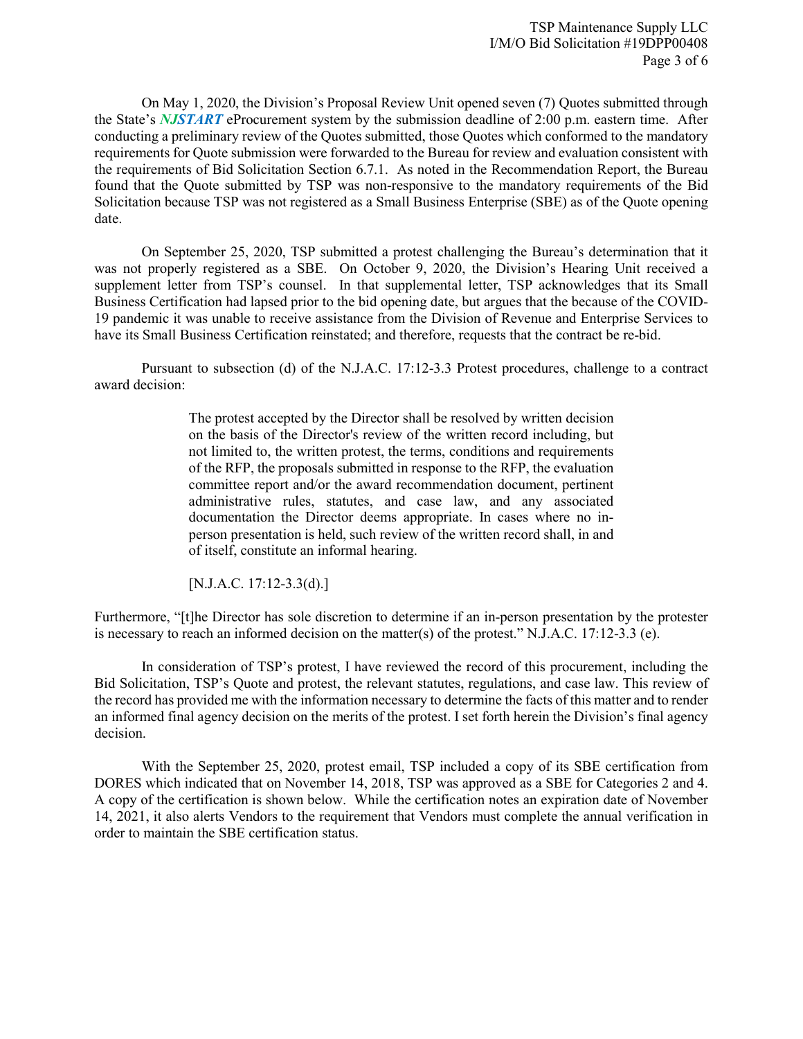On May 1, 2020, the Division's Proposal Review Unit opened seven (7) Quotes submitted through the State's *NJSTART* eProcurement system by the submission deadline of 2:00 p.m. eastern time. After conducting a preliminary review of the Quotes submitted, those Quotes which conformed to the mandatory requirements for Quote submission were forwarded to the Bureau for review and evaluation consistent with the requirements of Bid Solicitation Section 6.7.1. As noted in the Recommendation Report, the Bureau found that the Quote submitted by TSP was non-responsive to the mandatory requirements of the Bid Solicitation because TSP was not registered as a Small Business Enterprise (SBE) as of the Quote opening date.

On September 25, 2020, TSP submitted a protest challenging the Bureau's determination that it was not properly registered as a SBE. On October 9, 2020, the Division's Hearing Unit received a supplement letter from TSP's counsel. In that supplemental letter, TSP acknowledges that its Small Business Certification had lapsed prior to the bid opening date, but argues that the because of the COVID-19 pandemic it was unable to receive assistance from the Division of Revenue and Enterprise Services to have its Small Business Certification reinstated; and therefore, requests that the contract be re-bid.

Pursuant to subsection (d) of the N.J.A.C. 17:12-3.3 Protest procedures, challenge to a contract award decision:

> The protest accepted by the Director shall be resolved by written decision on the basis of the Director's review of the written record including, but not limited to, the written protest, the terms, conditions and requirements of the RFP, the proposals submitted in response to the RFP, the evaluation committee report and/or the award recommendation document, pertinent administrative rules, statutes, and case law, and any associated documentation the Director deems appropriate. In cases where no inperson presentation is held, such review of the written record shall, in and of itself, constitute an informal hearing.

[N.J.A.C. 17:12-3.3(d).]

Furthermore, "[t]he Director has sole discretion to determine if an in-person presentation by the protester is necessary to reach an informed decision on the matter(s) of the protest." N.J.A.C.  $17:12-3.3$  (e).

In consideration of TSP's protest, I have reviewed the record of this procurement, including the Bid Solicitation, TSP's Quote and protest, the relevant statutes, regulations, and case law. This review of the record has provided me with the information necessary to determine the facts of this matter and to render an informed final agency decision on the merits of the protest. I set forth herein the Division's final agency decision.

With the September 25, 2020, protest email, TSP included a copy of its SBE certification from DORES which indicated that on November 14, 2018, TSP was approved as a SBE for Categories 2 and 4. A copy of the certification is shown below. While the certification notes an expiration date of November 14, 2021, it also alerts Vendors to the requirement that Vendors must complete the annual verification in order to maintain the SBE certification status.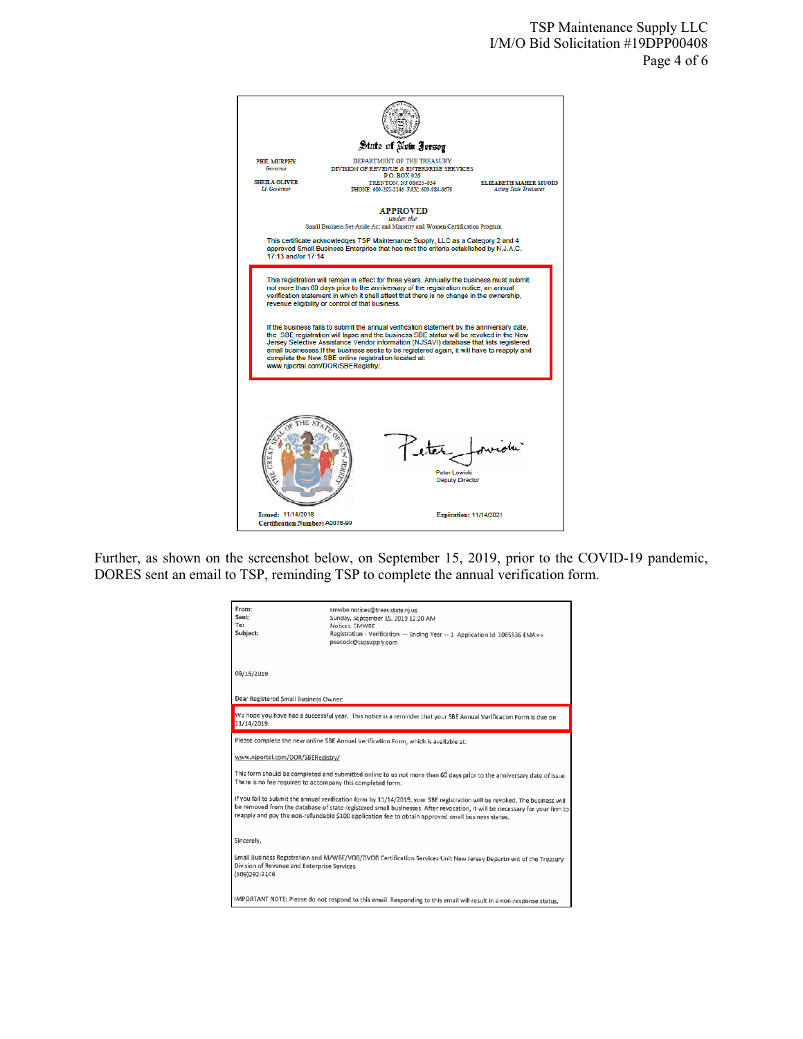

Further, as shown on the screenshot below, on September 15, 2019, prior to the COVID-19 pandemic, DORES sent an email to TSP, reminding TSP to complete the annual verification form.

| From:<br>Sent:<br>To:<br>Subject:                                                                                                                                                                                                                                                                                                                              | smwbe.notices@treas.state.nj.us<br>Sunday, September 15, 2019 12:20 AM<br>Notices, SMWBE<br>Registration - Verification -- Ending Year -- 1 Application Id: 1065536 EMA=><br>peacock@tspsupply.com |
|----------------------------------------------------------------------------------------------------------------------------------------------------------------------------------------------------------------------------------------------------------------------------------------------------------------------------------------------------------------|----------------------------------------------------------------------------------------------------------------------------------------------------------------------------------------------------|
| 09/15/2019                                                                                                                                                                                                                                                                                                                                                     |                                                                                                                                                                                                    |
| Dear Registered Small Business Owner:                                                                                                                                                                                                                                                                                                                          |                                                                                                                                                                                                    |
| We hope you have had a successful year. This notice is a reminder that your SBE Annual Verification Form is due on<br>11/14/2019.                                                                                                                                                                                                                              |                                                                                                                                                                                                    |
| Please complete the new online SBE Annual Verification Form, which is available at:                                                                                                                                                                                                                                                                            |                                                                                                                                                                                                    |
| www.njportal.com/DOR/SBERegistry/                                                                                                                                                                                                                                                                                                                              |                                                                                                                                                                                                    |
| This form should be completed and submitted online to us not more than 60 days prior to the anniversary date of issue.<br>There is no fee required to accompany this completed form.                                                                                                                                                                           |                                                                                                                                                                                                    |
| If you fail to submit the annual verification form by 11/14/2019, your SBE registration will be revoked. The business will<br>be removed from the database of state registered small businesses. After revocation, it will be necessary for your firm to<br>reapply and pay the non-refundable \$100 application fee to obtain approved small business status. |                                                                                                                                                                                                    |
| Sincerely,                                                                                                                                                                                                                                                                                                                                                     |                                                                                                                                                                                                    |
| Small Business Registration and M/WBE/VOB/DVOB Certification Services Unit New Jersey Department of the Treasury<br>Division of Revenue and Enterprise Services<br>(609)292-2146                                                                                                                                                                               |                                                                                                                                                                                                    |
| IMPORTANT NOTE: Please do not respond to this email. Responding to this email will result in a non-response status.                                                                                                                                                                                                                                            |                                                                                                                                                                                                    |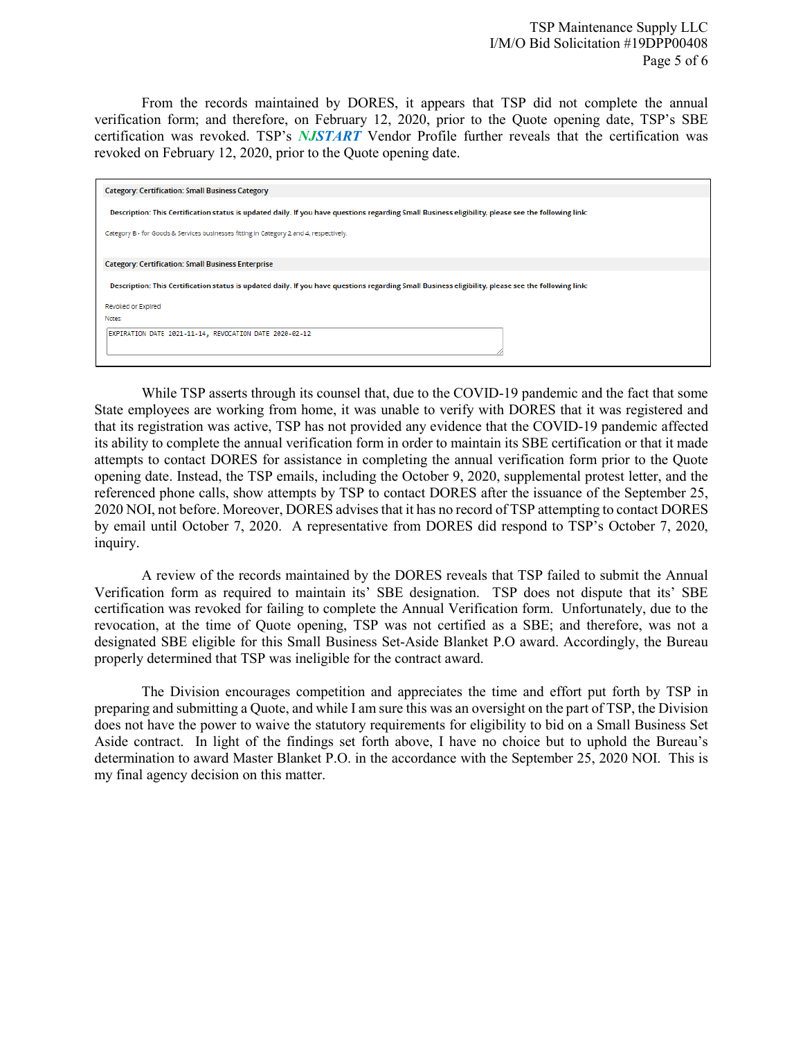From the records maintained by DORES, it appears that TSP did not complete the annual verification form; and therefore, on February 12, 2020, prior to the Quote opening date, TSP's SBE certification was revoked. TSP's *NJSTART* Vendor Profile further reveals that the certification was revoked on February 12, 2020, prior to the Quote opening date.

| <b>Category: Certification: Small Business Category</b>                                                                                             |
|-----------------------------------------------------------------------------------------------------------------------------------------------------|
| Description: This Certification status is updated daily. If you have questions regarding Small Business eligibility, please see the following link: |
| Category B - for Goods & Services businesses fitting in Category 2 and 4, respectively.                                                             |
|                                                                                                                                                     |
| <b>Category: Certification: Small Business Enterprise</b>                                                                                           |
| Description: This Certification status is updated daily. If you have questions regarding Small Business eligibility, please see the following link: |
| Revoked or Expired                                                                                                                                  |
| Notes:                                                                                                                                              |
| EXPIRATION DATE 2021-11-14, REVOCATION DATE 2020-02-12                                                                                              |
|                                                                                                                                                     |

While TSP asserts through its counsel that, due to the COVID-19 pandemic and the fact that some State employees are working from home, it was unable to verify with DORES that it was registered and that its registration was active, TSP has not provided any evidence that the COVID-19 pandemic affected its ability to complete the annual verification form in order to maintain its SBE certification or that it made attempts to contact DORES for assistance in completing the annual verification form prior to the Quote opening date. Instead, the TSP emails, including the October 9, 2020, supplemental protest letter, and the referenced phone calls, show attempts by TSP to contact DORES after the issuance of the September 25, 2020 NOI, not before. Moreover, DORES advises that it has no record of TSP attempting to contact DORES by email until October 7, 2020. A representative from DORES did respond to TSP's October 7, 2020, inquiry.

A review of the records maintained by the DORES reveals that TSP failed to submit the Annual Verification form as required to maintain its' SBE designation. TSP does not dispute that its' SBE certification was revoked for failing to complete the Annual Verification form. Unfortunately, due to the revocation, at the time of Quote opening, TSP was not certified as a SBE; and therefore, was not a designated SBE eligible for this Small Business Set-Aside Blanket P.O award. Accordingly, the Bureau properly determined that TSP was ineligible for the contract award.

The Division encourages competition and appreciates the time and effort put forth by TSP in preparing and submitting a Quote, and while I am sure this was an oversight on the part of TSP, the Division does not have the power to waive the statutory requirements for eligibility to bid on a Small Business Set Aside contract. In light of the findings set forth above, I have no choice but to uphold the Bureau's determination to award Master Blanket P.O. in the accordance with the September 25, 2020 NOI. This is my final agency decision on this matter.